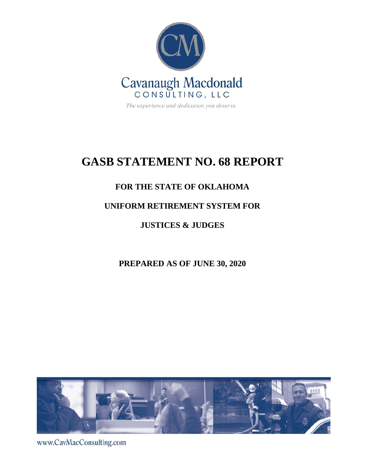

The experience and dedication you deserve

# **GASB STATEMENT NO. 68 REPORT**

## **FOR THE STATE OF OKLAHOMA**

## **UNIFORM RETIREMENT SYSTEM FOR**

**JUSTICES & JUDGES**

## **PREPARED AS OF JUNE 30, 2020**



www.CavMacConsulting.com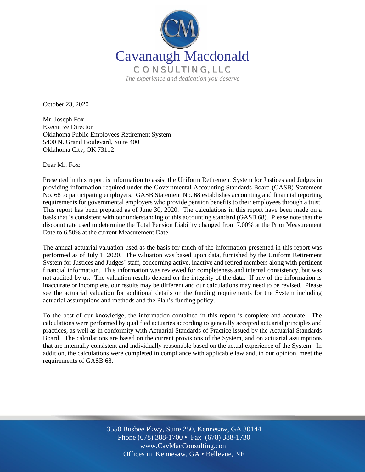

October 23, 2020

Mr. Joseph Fox Executive Director Oklahoma Public Employees Retirement System 5400 N. Grand Boulevard, Suite 400 Oklahoma City, OK 73112

Dear Mr. Fox:

Presented in this report is information to assist the Uniform Retirement System for Justices and Judges in providing information required under the Governmental Accounting Standards Board (GASB) Statement No. 68 to participating employers. GASB Statement No. 68 establishes accounting and financial reporting requirements for governmental employers who provide pension benefits to their employees through a trust. This report has been prepared as of June 30, 2020. The calculations in this report have been made on a basis that is consistent with our understanding of this accounting standard (GASB 68). Please note that the discount rate used to determine the Total Pension Liability changed from 7.00% at the Prior Measurement Date to 6.50% at the current Measurement Date.

The annual actuarial valuation used as the basis for much of the information presented in this report was performed as of July 1, 2020. The valuation was based upon data, furnished by the Uniform Retirement System for Justices and Judges' staff, concerning active, inactive and retired members along with pertinent financial information. This information was reviewed for completeness and internal consistency, but was not audited by us. The valuation results depend on the integrity of the data. If any of the information is inaccurate or incomplete, our results may be different and our calculations may need to be revised. Please see the actuarial valuation for additional details on the funding requirements for the System including actuarial assumptions and methods and the Plan's funding policy.

To the best of our knowledge, the information contained in this report is complete and accurate. The calculations were performed by qualified actuaries according to generally accepted actuarial principles and practices, as well as in conformity with Actuarial Standards of Practice issued by the Actuarial Standards Board. The calculations are based on the current provisions of the System, and on actuarial assumptions that are internally consistent and individually reasonable based on the actual experience of the System. In addition, the calculations were completed in compliance with applicable law and, in our opinion, meet the requirements of GASB 68.

> Off Offices in Kennesaw, GA • Bellevue, NE 3550 Busbee Pkwy, Suite 250, Kennesaw, GA 30144 Phone (678) 388-1700 • Fax (678) 388-1730 www.CavMacConsulting.com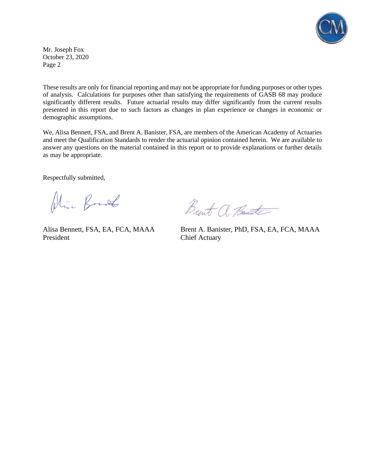

Mr. Joseph Fox October 23, 2020 Page 2

These results are only for financial reporting and may not be appropriate for funding purposes or other types of analysis. Calculations for purposes other than satisfying the requirements of GASB 68 may produce significantly different results. Future actuarial results may differ significantly from the current results presented in this report due to such factors as changes in plan experience or changes in economic or demographic assumptions.

We, Alisa Bennett, FSA, and Brent A. Banister, FSA, are members of the American Academy of Actuaries and meet the Qualification Standards to render the actuarial opinion contained herein. We are available to answer any questions on the material contained in this report or to provide explanations or further details as may be appropriate.

Respectfully submitted,

Plin Band

President Chief Actuary

Brent a Bante

Alisa Bennett, FSA, EA, FCA, MAAA Brent A. Banister, PhD, FSA, EA, FCA, MAAA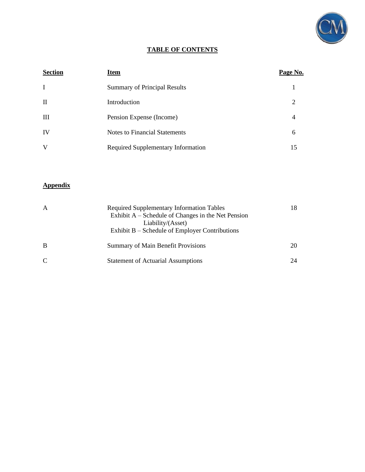

## **TABLE OF CONTENTS**

| <b>Section</b> | <b>Item</b>                         | Page No.       |
|----------------|-------------------------------------|----------------|
| $\bf{I}$       | <b>Summary of Principal Results</b> |                |
| $\mathbf{I}$   | Introduction                        | 2              |
| $\mathbf{III}$ | Pension Expense (Income)            | $\overline{4}$ |
| IV             | Notes to Financial Statements       | 6              |
| V              | Required Supplementary Information  | 15             |

## **Appendix**

| A            | <b>Required Supplementary Information Tables</b><br>Exhibit $A$ – Schedule of Changes in the Net Pension<br>Liability/(Asset)<br>Exhibit $B - S$ chedule of Employer Contributions | 18. |
|--------------|------------------------------------------------------------------------------------------------------------------------------------------------------------------------------------|-----|
| B            | <b>Summary of Main Benefit Provisions</b>                                                                                                                                          | 20  |
| $\mathsf{C}$ | <b>Statement of Actuarial Assumptions</b>                                                                                                                                          | 24  |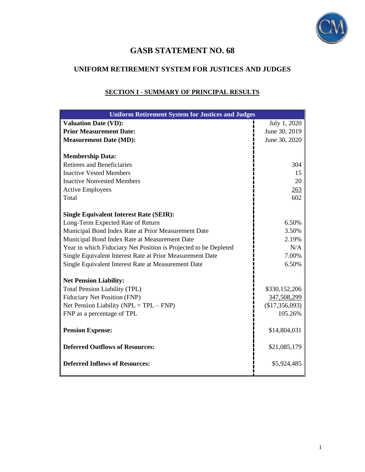

## **GASB STATEMENT NO. 68**

## **UNIFORM RETIREMENT SYSTEM FOR JUSTICES AND JUDGES**

| <b>Uniform Retirement System for Justices and Judges</b>         |                |  |  |
|------------------------------------------------------------------|----------------|--|--|
| <b>Valuation Date (VD):</b>                                      | July 1, 2020   |  |  |
| <b>Prior Measurement Date:</b>                                   | June 30, 2019  |  |  |
| <b>Measurement Date (MD):</b>                                    | June 30, 2020  |  |  |
|                                                                  |                |  |  |
| <b>Membership Data:</b>                                          |                |  |  |
| <b>Retirees and Beneficiaries</b>                                | 304            |  |  |
| <b>Inactive Vested Members</b>                                   | 15             |  |  |
| <b>Inactive Nonvested Members</b>                                | 20             |  |  |
| <b>Active Employees</b>                                          | 263            |  |  |
| Total                                                            | 602            |  |  |
|                                                                  |                |  |  |
| <b>Single Equivalent Interest Rate (SEIR):</b>                   |                |  |  |
| Long-Term Expected Rate of Return                                | 6.50%          |  |  |
| Municipal Bond Index Rate at Prior Measurement Date              | 3.50%          |  |  |
| Municipal Bond Index Rate at Measurement Date                    | 2.19%          |  |  |
| Year in which Fiduciary Net Position is Projected to be Depleted | N/A            |  |  |
| Single Equivalent Interest Rate at Prior Measurement Date        | 7.00%          |  |  |
| Single Equivalent Interest Rate at Measurement Date              | 6.50%          |  |  |
| <b>Net Pension Liability:</b>                                    |                |  |  |
| <b>Total Pension Liability (TPL)</b>                             | \$330,152,206  |  |  |
| <b>Fiduciary Net Position (FNP)</b>                              | 347,508,299    |  |  |
| Net Pension Liability ( $NPL = TPL - FNP$ )                      | (\$17,356,093) |  |  |
| FNP as a percentage of TPL                                       | 105.26%        |  |  |
|                                                                  |                |  |  |
| <b>Pension Expense:</b>                                          | \$14,804,031   |  |  |
|                                                                  |                |  |  |
| <b>Deferred Outflows of Resources:</b>                           | \$21,085,179   |  |  |
| <b>Deferred Inflows of Resources:</b>                            | \$5,924,485    |  |  |
|                                                                  |                |  |  |

## **SECTION I - SUMMARY OF PRINCIPAL RESULTS**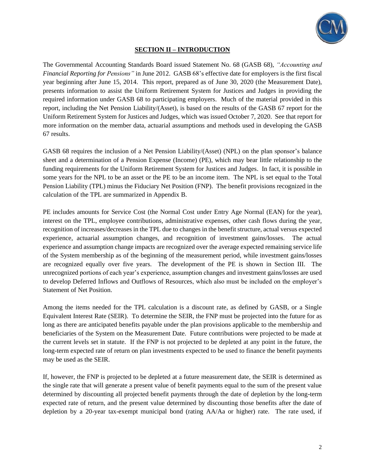

#### **SECTION II – INTRODUCTION**

The Governmental Accounting Standards Board issued Statement No. 68 (GASB 68), *"Accounting and Financial Reporting for Pensions"* in June 2012. GASB 68's effective date for employers is the first fiscal year beginning after June 15, 2014. This report, prepared as of June 30, 2020 (the Measurement Date), presents information to assist the Uniform Retirement System for Justices and Judges in providing the required information under GASB 68 to participating employers. Much of the material provided in this report, including the Net Pension Liability/(Asset), is based on the results of the GASB 67 report for the Uniform Retirement System for Justices and Judges, which was issued October 7, 2020. See that report for more information on the member data, actuarial assumptions and methods used in developing the GASB 67 results.

GASB 68 requires the inclusion of a Net Pension Liability/(Asset) (NPL) on the plan sponsor's balance sheet and a determination of a Pension Expense (Income) (PE), which may bear little relationship to the funding requirements for the Uniform Retirement System for Justices and Judges. In fact, it is possible in some years for the NPL to be an asset or the PE to be an income item. The NPL is set equal to the Total Pension Liability (TPL) minus the Fiduciary Net Position (FNP). The benefit provisions recognized in the calculation of the TPL are summarized in Appendix B.

PE includes amounts for Service Cost (the Normal Cost under Entry Age Normal (EAN) for the year), interest on the TPL, employee contributions, administrative expenses, other cash flows during the year, recognition of increases/decreases in the TPL due to changes in the benefit structure, actual versus expected experience, actuarial assumption changes, and recognition of investment gains/losses. The actual experience and assumption change impacts are recognized over the average expected remaining service life of the System membership as of the beginning of the measurement period, while investment gains/losses are recognized equally over five years. The development of the PE is shown in Section III. The unrecognized portions of each year's experience, assumption changes and investment gains/losses are used to develop Deferred Inflows and Outflows of Resources, which also must be included on the employer's Statement of Net Position.

Among the items needed for the TPL calculation is a discount rate, as defined by GASB, or a Single Equivalent Interest Rate (SEIR). To determine the SEIR, the FNP must be projected into the future for as long as there are anticipated benefits payable under the plan provisions applicable to the membership and beneficiaries of the System on the Measurement Date. Future contributions were projected to be made at the current levels set in statute. If the FNP is not projected to be depleted at any point in the future, the long-term expected rate of return on plan investments expected to be used to finance the benefit payments may be used as the SEIR.

If, however, the FNP is projected to be depleted at a future measurement date, the SEIR is determined as the single rate that will generate a present value of benefit payments equal to the sum of the present value determined by discounting all projected benefit payments through the date of depletion by the long-term expected rate of return, and the present value determined by discounting those benefits after the date of depletion by a 20-year tax-exempt municipal bond (rating AA/Aa or higher) rate. The rate used, if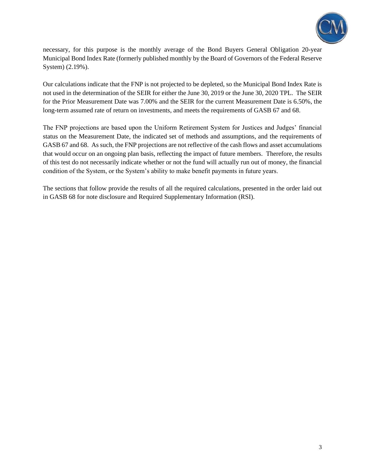

necessary, for this purpose is the monthly average of the Bond Buyers General Obligation 20-year Municipal Bond Index Rate (formerly published monthly by the Board of Governors of the Federal Reserve System) (2.19%).

Our calculations indicate that the FNP is not projected to be depleted, so the Municipal Bond Index Rate is not used in the determination of the SEIR for either the June 30, 2019 or the June 30, 2020 TPL. The SEIR for the Prior Measurement Date was 7.00% and the SEIR for the current Measurement Date is 6.50%, the long-term assumed rate of return on investments, and meets the requirements of GASB 67 and 68.

The FNP projections are based upon the Uniform Retirement System for Justices and Judges' financial status on the Measurement Date, the indicated set of methods and assumptions, and the requirements of GASB 67 and 68. As such, the FNP projections are not reflective of the cash flows and asset accumulations that would occur on an ongoing plan basis, reflecting the impact of future members. Therefore, the results of this test do not necessarily indicate whether or not the fund will actually run out of money, the financial condition of the System, or the System's ability to make benefit payments in future years.

The sections that follow provide the results of all the required calculations, presented in the order laid out in GASB 68 for note disclosure and Required Supplementary Information (RSI).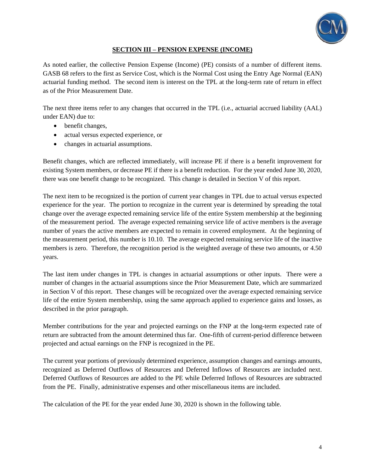

### **SECTION III – PENSION EXPENSE (INCOME)**

As noted earlier, the collective Pension Expense (Income) (PE) consists of a number of different items. GASB 68 refers to the first as Service Cost, which is the Normal Cost using the Entry Age Normal (EAN) actuarial funding method. The second item is interest on the TPL at the long-term rate of return in effect as of the Prior Measurement Date.

The next three items refer to any changes that occurred in the TPL (i.e., actuarial accrued liability (AAL) under EAN) due to:

- benefit changes,
- actual versus expected experience, or
- changes in actuarial assumptions.

Benefit changes, which are reflected immediately, will increase PE if there is a benefit improvement for existing System members, or decrease PE if there is a benefit reduction. For the year ended June 30, 2020, there was one benefit change to be recognized. This change is detailed in Section V of this report.

The next item to be recognized is the portion of current year changes in TPL due to actual versus expected experience for the year. The portion to recognize in the current year is determined by spreading the total change over the average expected remaining service life of the entire System membership at the beginning of the measurement period. The average expected remaining service life of active members is the average number of years the active members are expected to remain in covered employment. At the beginning of the measurement period, this number is 10.10. The average expected remaining service life of the inactive members is zero. Therefore, the recognition period is the weighted average of these two amounts, or 4.50 years.

The last item under changes in TPL is changes in actuarial assumptions or other inputs. There were a number of changes in the actuarial assumptions since the Prior Measurement Date, which are summarized in Section V of this report. These changes will be recognized over the average expected remaining service life of the entire System membership, using the same approach applied to experience gains and losses, as described in the prior paragraph.

Member contributions for the year and projected earnings on the FNP at the long-term expected rate of return are subtracted from the amount determined thus far. One-fifth of current-period difference between projected and actual earnings on the FNP is recognized in the PE.

The current year portions of previously determined experience, assumption changes and earnings amounts, recognized as Deferred Outflows of Resources and Deferred Inflows of Resources are included next. Deferred Outflows of Resources are added to the PE while Deferred Inflows of Resources are subtracted from the PE. Finally, administrative expenses and other miscellaneous items are included.

The calculation of the PE for the year ended June 30, 2020 is shown in the following table.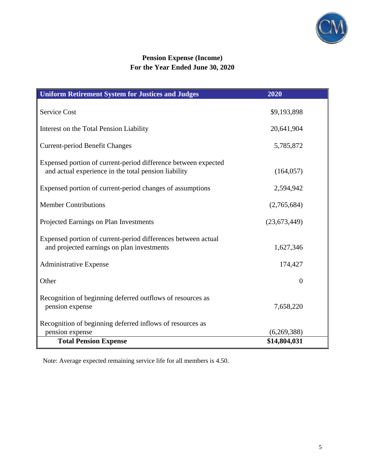

## **Pension Expense (Income) For the Year Ended June 30, 2020**

| <b>Uniform Retirement System for Justices and Judges</b>                                                               | 2020           |
|------------------------------------------------------------------------------------------------------------------------|----------------|
| <b>Service Cost</b>                                                                                                    | \$9,193,898    |
| Interest on the Total Pension Liability                                                                                | 20,641,904     |
| <b>Current-period Benefit Changes</b>                                                                                  | 5,785,872      |
| Expensed portion of current-period difference between expected<br>and actual experience in the total pension liability | (164, 057)     |
| Expensed portion of current-period changes of assumptions                                                              | 2,594,942      |
| <b>Member Contributions</b>                                                                                            | (2,765,684)    |
| Projected Earnings on Plan Investments                                                                                 | (23, 673, 449) |
| Expensed portion of current-period differences between actual<br>and projected earnings on plan investments            | 1,627,346      |
| <b>Administrative Expense</b>                                                                                          | 174,427        |
| Other                                                                                                                  | $\overline{0}$ |
| Recognition of beginning deferred outflows of resources as<br>pension expense                                          | 7,658,220      |
| Recognition of beginning deferred inflows of resources as                                                              |                |
| pension expense                                                                                                        | (6,269,388)    |
| <b>Total Pension Expense</b>                                                                                           | \$14,804,031   |

Note: Average expected remaining service life for all members is 4.50.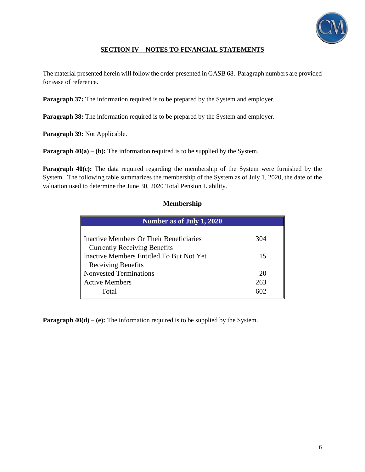

## **SECTION IV – NOTES TO FINANCIAL STATEMENTS**

The material presented herein will follow the order presented in GASB 68. Paragraph numbers are provided for ease of reference.

**Paragraph 37:** The information required is to be prepared by the System and employer.

**Paragraph 38:** The information required is to be prepared by the System and employer.

**Paragraph 39:** Not Applicable.

**Paragraph 40(a) – (b):** The information required is to be supplied by the System.

**Paragraph 40(c):** The data required regarding the membership of the System were furnished by the System. The following table summarizes the membership of the System as of July 1, 2020, the date of the valuation used to determine the June 30, 2020 Total Pension Liability.

#### **Membership**

| Number as of July 1, 2020                                                       |           |  |  |  |  |
|---------------------------------------------------------------------------------|-----------|--|--|--|--|
| Inactive Members Or Their Beneficiaries                                         | 304       |  |  |  |  |
| <b>Currently Receiving Benefits</b><br>Inactive Members Entitled To But Not Yet | 15        |  |  |  |  |
| <b>Receiving Benefits</b>                                                       |           |  |  |  |  |
| Nonvested Terminations<br><b>Active Members</b>                                 | 20<br>263 |  |  |  |  |
| Total                                                                           |           |  |  |  |  |

**Paragraph 40(d) – (e):** The information required is to be supplied by the System.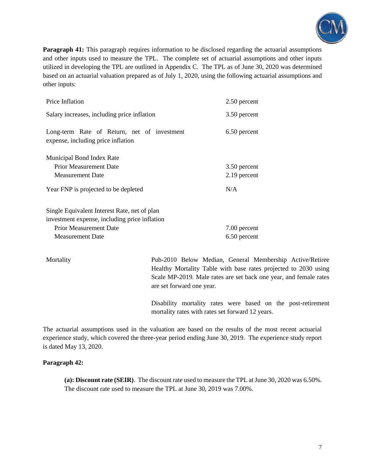

**Paragraph 41:** This paragraph requires information to be disclosed regarding the actuarial assumptions and other inputs used to measure the TPL. The complete set of actuarial assumptions and other inputs utilized in developing the TPL are outlined in Appendix C. The TPL as of June 30, 2020 was determined based on an actuarial valuation prepared as of July 1, 2020, using the following actuarial assumptions and other inputs:

| Price Inflation                                                                   | 2.50 percent |
|-----------------------------------------------------------------------------------|--------------|
| Salary increases, including price inflation                                       | 3.50 percent |
| Long-term Rate of Return, net of investment<br>expense, including price inflation | 6.50 percent |
| Municipal Bond Index Rate                                                         |              |
| <b>Prior Measurement Date</b>                                                     | 3.50 percent |
| <b>Measurement Date</b>                                                           | 2.19 percent |
| Year FNP is projected to be depleted                                              | N/A          |
| Single Equivalent Interest Rate, net of plan                                      |              |

investment expense, including price inflation Prior Measurement Date Measurement Date 7.00 percent 6.50 percent

Mortality Pub-2010 Below Median, General Membership Active/Retiree Healthy Mortality Table with base rates projected to 2030 using Scale MP-2019. Male rates are set back one year, and female rates are set forward one year.

> Disability mortality rates were based on the post-retirement mortality rates with rates set forward 12 years.

The actuarial assumptions used in the valuation are based on the results of the most recent actuarial experience study, which covered the three-year period ending June 30, 2019. The experience study report is dated May 13, 2020.

#### **Paragraph 42:**

**(a): Discount rate (SEIR)**. The discount rate used to measure the TPL at June 30, 2020 was 6.50%. The discount rate used to measure the TPL at June 30, 2019 was 7.00%.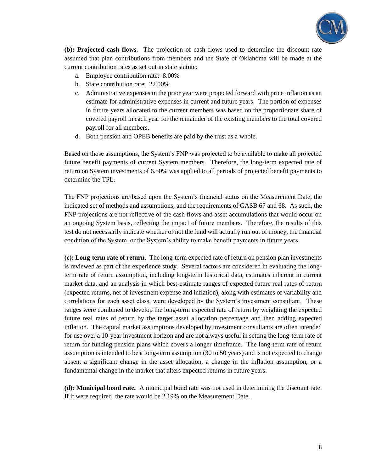

**(b): Projected cash flows**. The projection of cash flows used to determine the discount rate assumed that plan contributions from members and the State of Oklahoma will be made at the current contribution rates as set out in state statute:

- a. Employee contribution rate: 8.00%
- b. State contribution rate: 22.00%
- c. Administrative expenses in the prior year were projected forward with price inflation as an estimate for administrative expenses in current and future years. The portion of expenses in future years allocated to the current members was based on the proportionate share of covered payroll in each year for the remainder of the existing members to the total covered payroll for all members.
- d. Both pension and OPEB benefits are paid by the trust as a whole.

Based on those assumptions, the System's FNP was projected to be available to make all projected future benefit payments of current System members. Therefore, the long-term expected rate of return on System investments of 6.50% was applied to all periods of projected benefit payments to determine the TPL.

The FNP projections are based upon the System's financial status on the Measurement Date, the indicated set of methods and assumptions, and the requirements of GASB 67 and 68. As such, the FNP projections are not reflective of the cash flows and asset accumulations that would occur on an ongoing System basis, reflecting the impact of future members. Therefore, the results of this test do not necessarily indicate whether or not the fund will actually run out of money, the financial condition of the System, or the System's ability to make benefit payments in future years.

**(c): Long-term rate of return.** The long-term expected rate of return on pension plan investments is reviewed as part of the experience study. Several factors are considered in evaluating the longterm rate of return assumption, including long-term historical data, estimates inherent in current market data, and an analysis in which best-estimate ranges of expected future real rates of return (expected returns, net of investment expense and inflation), along with estimates of variability and correlations for each asset class, were developed by the System's investment consultant. These ranges were combined to develop the long-term expected rate of return by weighting the expected future real rates of return by the target asset allocation percentage and then adding expected inflation. The capital market assumptions developed by investment consultants are often intended for use over a 10-year investment horizon and are not always useful in setting the long-term rate of return for funding pension plans which covers a longer timeframe. The long-term rate of return assumption is intended to be a long-term assumption (30 to 50 years) and is not expected to change absent a significant change in the asset allocation, a change in the inflation assumption, or a fundamental change in the market that alters expected returns in future years.

**(d): Municipal bond rate.** A municipal bond rate was not used in determining the discount rate. If it were required, the rate would be 2.19% on the Measurement Date.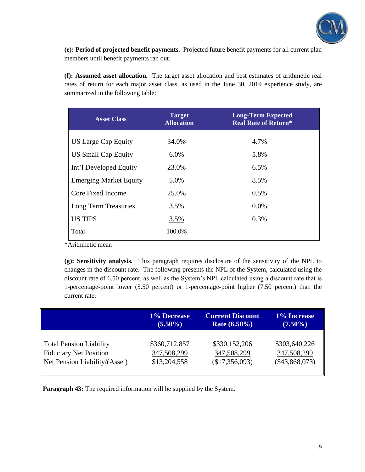

**(e): Period of projected benefit payments.** Projected future benefit payments for all current plan members until benefit payments ran out.

**(f): Assumed asset allocation.** The target asset allocation and best estimates of arithmetic real rates of return for each major asset class, as used in the June 30, 2019 experience study, are summarized in the following table:

| <b>Target</b><br><b>Asset Class</b><br><b>Allocation</b> |        | <b>Long-Term Expected</b><br><b>Real Rate of Return*</b> |
|----------------------------------------------------------|--------|----------------------------------------------------------|
| <b>US Large Cap Equity</b>                               | 34.0%  | 4.7%                                                     |
| <b>US Small Cap Equity</b>                               | 6.0%   | 5.8%                                                     |
| Int'l Developed Equity                                   | 23.0%  | 6.5%                                                     |
| <b>Emerging Market Equity</b>                            | 5.0%   | 8.5%                                                     |
| Core Fixed Income                                        | 25.0%  | 0.5%                                                     |
| Long Term Treasuries                                     | 3.5%   | 0.0%                                                     |
| <b>US TIPS</b>                                           | 3.5%   | 0.3%                                                     |
| Total                                                    | 100.0% |                                                          |

\*Arithmetic mean

**(g): Sensitivity analysis.** This paragraph requires disclosure of the sensitivity of the NPL to changes in the discount rate. The following presents the NPL of the System, calculated using the discount rate of 6.50 percent, as well as the System's NPL calculated using a discount rate that is 1-percentage-point lower (5.50 percent) or 1-percentage-point higher (7.50 percent) than the current rate:

|                               | <b>1% Decrease</b> | <b>Current Discount</b> | <b>1% Increase</b> |
|-------------------------------|--------------------|-------------------------|--------------------|
|                               | $(5.50\%)$         | <b>Rate</b> $(6.50\%)$  | $(7.50\%)$         |
| Total Pension Liability       | \$360,712,857      | \$330,152,206           | \$303,640,226      |
| Fiduciary Net Position        | 347,508,299        | 347,508,299             | 347,508,299        |
| Net Pension Liability/(Asset) | \$13,204,558       | (\$17,356,093)          | $(\$43,868,073)$   |

**Paragraph 43:** The required information will be supplied by the System.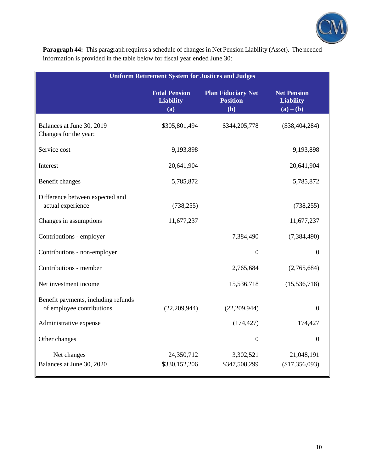

**Paragraph 44:** This paragraph requires a schedule of changes in Net Pension Liability (Asset). The needed information is provided in the table below for fiscal year ended June 30:

| <b>Uniform Retirement System for Justices and Judges</b>         |                                                 |                                                     |                                                       |  |  |  |  |  |
|------------------------------------------------------------------|-------------------------------------------------|-----------------------------------------------------|-------------------------------------------------------|--|--|--|--|--|
|                                                                  | <b>Total Pension</b><br><b>Liability</b><br>(a) | <b>Plan Fiduciary Net</b><br><b>Position</b><br>(b) | <b>Net Pension</b><br><b>Liability</b><br>$(a) - (b)$ |  |  |  |  |  |
| Balances at June 30, 2019<br>Changes for the year:               | \$305,801,494                                   | \$344,205,778                                       | $(\$38,404,284)$                                      |  |  |  |  |  |
| Service cost                                                     | 9,193,898                                       |                                                     | 9,193,898                                             |  |  |  |  |  |
| Interest                                                         | 20,641,904                                      |                                                     | 20,641,904                                            |  |  |  |  |  |
| Benefit changes                                                  | 5,785,872                                       |                                                     | 5,785,872                                             |  |  |  |  |  |
| Difference between expected and<br>actual experience             | (738, 255)                                      |                                                     | (738, 255)                                            |  |  |  |  |  |
| Changes in assumptions                                           | 11,677,237                                      |                                                     | 11,677,237                                            |  |  |  |  |  |
| Contributions - employer                                         |                                                 | 7,384,490                                           | (7, 384, 490)                                         |  |  |  |  |  |
| Contributions - non-employer                                     |                                                 | $\boldsymbol{0}$                                    | $\Omega$                                              |  |  |  |  |  |
| Contributions - member                                           |                                                 | 2,765,684                                           | (2,765,684)                                           |  |  |  |  |  |
| Net investment income                                            |                                                 | 15,536,718                                          | (15, 536, 718)                                        |  |  |  |  |  |
| Benefit payments, including refunds<br>of employee contributions | (22, 209, 944)                                  | (22, 209, 944)                                      | $\Omega$                                              |  |  |  |  |  |
| Administrative expense                                           |                                                 | (174, 427)                                          | 174,427                                               |  |  |  |  |  |
| Other changes                                                    |                                                 | $\boldsymbol{0}$                                    | $\mathbf{0}$                                          |  |  |  |  |  |
| Net changes<br>Balances at June 30, 2020                         | 24,350,712<br>\$330,152,206                     | 3,302,521<br>\$347,508,299                          | 21,048,191<br>(\$17,356,093)                          |  |  |  |  |  |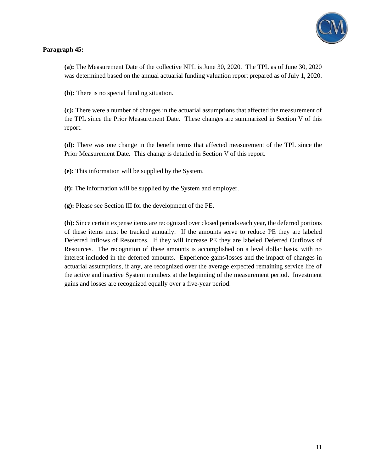

### **Paragraph 45:**

**(a):** The Measurement Date of the collective NPL is June 30, 2020. The TPL as of June 30, 2020 was determined based on the annual actuarial funding valuation report prepared as of July 1, 2020.

**(b):** There is no special funding situation.

**(c):** There were a number of changes in the actuarial assumptions that affected the measurement of the TPL since the Prior Measurement Date. These changes are summarized in Section V of this report.

**(d):** There was one change in the benefit terms that affected measurement of the TPL since the Prior Measurement Date. This change is detailed in Section V of this report.

**(e):** This information will be supplied by the System.

**(f):** The information will be supplied by the System and employer.

**(g):** Please see Section III for the development of the PE.

**(h):** Since certain expense items are recognized over closed periods each year, the deferred portions of these items must be tracked annually. If the amounts serve to reduce PE they are labeled Deferred Inflows of Resources. If they will increase PE they are labeled Deferred Outflows of Resources. The recognition of these amounts is accomplished on a level dollar basis, with no interest included in the deferred amounts. Experience gains/losses and the impact of changes in actuarial assumptions, if any, are recognized over the average expected remaining service life of the active and inactive System members at the beginning of the measurement period. Investment gains and losses are recognized equally over a five-year period.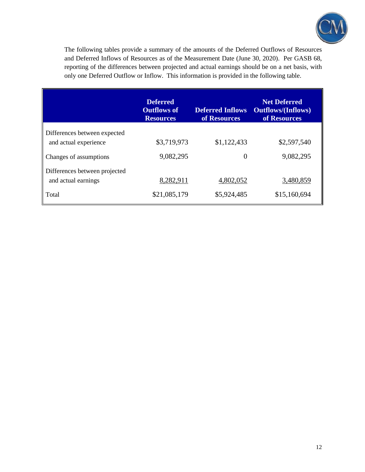

The following tables provide a summary of the amounts of the Deferred Outflows of Resources and Deferred Inflows of Resources as of the Measurement Date (June 30, 2020). Per GASB 68, reporting of the differences between projected and actual earnings should be on a net basis, with only one Deferred Outflow or Inflow. This information is provided in the following table.

|                                                       | <b>Deferred</b><br><b>Outflows of</b><br><b>Resources</b> | <b>Deferred Inflows</b><br>of Resources | <b>Net Deferred</b><br><b>Outflows/(Inflows)</b><br>of Resources |
|-------------------------------------------------------|-----------------------------------------------------------|-----------------------------------------|------------------------------------------------------------------|
| Differences between expected<br>and actual experience | \$3,719,973                                               | \$1,122,433                             | \$2,597,540                                                      |
| Changes of assumptions                                | 9,082,295                                                 | 0                                       | 9,082,295                                                        |
| Differences between projected<br>and actual earnings  | 8,282,911                                                 | 4,802,052                               | 3,480,859                                                        |
| Total                                                 | \$21,085,179                                              | \$5,924,485                             | \$15,160,694                                                     |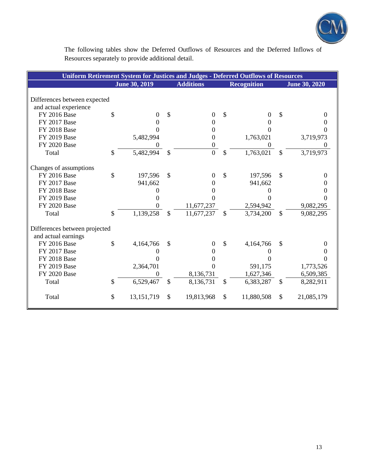

The following tables show the Deferred Outflows of Resources and the Deferred Inflows of Resources separately to provide additional detail.

| <b>Uniform Retirement System for Justices and Judges - Deferred Outflows of Resources</b> |               |                      |               |                  |                    |                    |               |                      |
|-------------------------------------------------------------------------------------------|---------------|----------------------|---------------|------------------|--------------------|--------------------|---------------|----------------------|
|                                                                                           |               | <b>June 30, 2019</b> |               | <b>Additions</b> |                    | <b>Recognition</b> |               | <b>June 30, 2020</b> |
|                                                                                           |               |                      |               |                  |                    |                    |               |                      |
| Differences between expected                                                              |               |                      |               |                  |                    |                    |               |                      |
| and actual experience                                                                     |               |                      |               |                  |                    |                    |               |                      |
| <b>FY 2016 Base</b>                                                                       | \$            | 0                    | \$            | $\theta$         | $\mathbf{\hat{S}}$ | 0                  | \$            |                      |
| FY 2017 Base                                                                              |               | 0                    |               | 0                |                    | 0                  |               |                      |
| <b>FY 2018 Base</b>                                                                       |               | 0                    |               | $\Omega$         |                    | 0                  |               |                      |
| <b>FY 2019 Base</b>                                                                       |               | 5,482,994            |               | 0                |                    | 1,763,021          |               | 3,719,973            |
| <b>FY 2020 Base</b>                                                                       |               | 0                    |               | 0                |                    | 0                  |               |                      |
| Total                                                                                     | \$            | 5,482,994            | \$            | $\overline{0}$   | \$                 | 1,763,021          | \$            | 3,719,973            |
| Changes of assumptions                                                                    |               |                      |               |                  |                    |                    |               |                      |
| <b>FY 2016 Base</b>                                                                       | \$            | 197,596              | $\mathcal{S}$ | $\Omega$         | $\mathcal{S}$      | 197,596            | \$            |                      |
| FY 2017 Base                                                                              |               | 941,662              |               | $_{0}$           |                    | 941,662            |               |                      |
| FY 2018 Base                                                                              |               | $\Omega$             |               |                  |                    |                    |               |                      |
| <b>FY 2019 Base</b>                                                                       |               |                      |               |                  |                    | 0                  |               |                      |
| <b>FY 2020 Base</b>                                                                       |               |                      |               | 11,677,237       |                    | 2,594,942          |               | 9,082,295            |
| Total                                                                                     | \$            | 1,139,258            | $\mathcal{S}$ | 11,677,237       | $\mathcal{S}$      | 3,734,200          | $\mathcal{S}$ | 9,082,295            |
| Differences between projected                                                             |               |                      |               |                  |                    |                    |               |                      |
| and actual earnings                                                                       |               |                      |               |                  |                    |                    |               |                      |
| <b>FY 2016 Base</b>                                                                       | \$            | 4,164,766            | \$            | 0                | $\mathcal{S}$      | 4,164,766          | \$            |                      |
| <b>FY 2017 Base</b>                                                                       |               |                      |               |                  |                    | 0                  |               |                      |
| <b>FY 2018 Base</b>                                                                       |               | 0                    |               |                  |                    | 0                  |               |                      |
| <b>FY 2019 Base</b>                                                                       |               | 2,364,701            |               | 0                |                    | 591,175            |               | 1,773,526            |
| FY 2020 Base                                                                              |               | 0                    |               | 8,136,731        |                    | 1,627,346          |               | 6,509,385            |
| Total                                                                                     | $\mathcal{S}$ | 6,529,467            | \$            | 8,136,731        | $\mathbb{S}$       | 6,383,287          | \$            | 8,282,911            |
| Total                                                                                     | \$            | 13,151,719           | \$            | 19,813,968       | \$                 | 11,880,508         | \$            | 21,085,179           |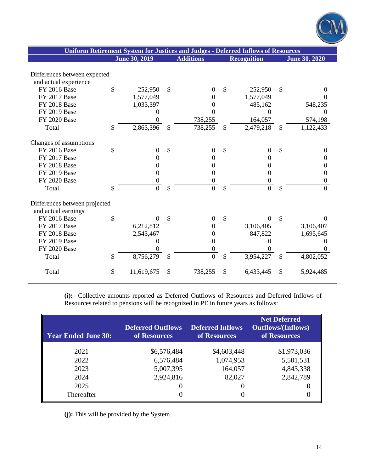|                                       |                      |               |                  | Uniform Retirement System for Justices and Judges - Deferred Inflows of Resources |                      |
|---------------------------------------|----------------------|---------------|------------------|-----------------------------------------------------------------------------------|----------------------|
|                                       | <b>June 30, 2019</b> |               | <b>Additions</b> | <b>Recognition</b>                                                                | <b>June 30, 2020</b> |
|                                       |                      |               |                  |                                                                                   |                      |
| Differences between expected          |                      |               |                  |                                                                                   |                      |
| and actual experience<br>FY 2016 Base | \$                   | \$            |                  | \$                                                                                | \$                   |
| FY 2017 Base                          | 252,950<br>1,577,049 |               | $\theta$         | 252,950<br>1,577,049                                                              | 0<br>0               |
| <b>FY 2018 Base</b>                   | 1,033,397            |               | $\Omega$<br>0    | 485,162                                                                           | 548,235              |
| <b>FY 2019 Base</b>                   | 0                    |               | 0                | 0                                                                                 | $\Omega$             |
| <b>FY 2020 Base</b>                   | 0                    |               | 738,255          | 164,057                                                                           | 574,198              |
| Total                                 | \$<br>2,863,396      | $\mathcal{S}$ | 738,255          | \$<br>2,479,218                                                                   | \$<br>1,122,433      |
|                                       |                      |               |                  |                                                                                   |                      |
| Changes of assumptions                |                      |               |                  |                                                                                   |                      |
| <b>FY 2016 Base</b>                   | \$<br>$\mathbf{0}$   | $\mathcal{S}$ | $\overline{0}$   | \$<br>$\boldsymbol{0}$                                                            | \$<br>$\mathbf{0}$   |
| FY 2017 Base                          | 0                    |               | 0                | 0                                                                                 | $\overline{0}$       |
| <b>FY 2018 Base</b>                   | 0                    |               | $\theta$         | $\overline{0}$                                                                    | 0                    |
| FY 2019 Base                          | $\overline{0}$       |               | $\Omega$         | $\Omega$                                                                          | 0                    |
| <b>FY 2020 Base</b>                   | $\boldsymbol{0}$     |               | 0                | 0                                                                                 | $\theta$             |
| Total                                 | \$<br>$\overline{0}$ | \$            | $\overline{0}$   | \$<br>$\overline{0}$                                                              | \$<br>$\overline{0}$ |
|                                       |                      |               |                  |                                                                                   |                      |
| Differences between projected         |                      |               |                  |                                                                                   |                      |
| and actual earnings                   |                      |               |                  |                                                                                   |                      |
| <b>FY 2016 Base</b>                   | \$<br>$\theta$       | $\mathcal{S}$ | $\theta$         | \$<br>0                                                                           | \$<br>$\theta$       |
| FY 2017 Base                          | 6,212,812            |               | $\theta$         | 3,106,405                                                                         | 3,106,407            |
| <b>FY 2018 Base</b>                   | 2,543,467            |               | $\mathbf{0}$     | 847,822                                                                           | 1,695,645            |
| <b>FY 2019 Base</b>                   | 0                    |               | 0                | $\Omega$                                                                          | 0                    |
| <b>FY 2020 Base</b>                   | 0                    |               | 0                |                                                                                   | 0                    |
| Total                                 | \$<br>8,756,279      | \$            | $\overline{0}$   | \$<br>3,954,227                                                                   | \$<br>4,802,052      |
| Total                                 | \$<br>11,619,675     | \$            | 738,255          | \$<br>6,433,445                                                                   | \$<br>5,924,485      |

**(i):** Collective amounts reported as Deferred Outflows of Resources and Deferred Inflows of Resources related to pensions will be recognized in PE in future years as follows:

| <b>Year Ended June 30:</b> | <b>Deferred Outflows</b><br>of Resources | <b>Deferred Inflows</b><br>of Resources | <b>Net Deferred</b><br><b>Outflows/(Inflows)</b><br>of Resources |
|----------------------------|------------------------------------------|-----------------------------------------|------------------------------------------------------------------|
| 2021                       | \$6,576,484                              | \$4,603,448                             | \$1,973,036                                                      |
| 2022                       | 6,576,484                                | 1,074,953                               | 5,501,531                                                        |
| 2023                       | 5,007,395                                | 164,057                                 | 4,843,338                                                        |
| 2024                       | 2,924,816                                | 82,027                                  | 2,842,789                                                        |
| 2025                       |                                          |                                         |                                                                  |
| Thereafter                 |                                          |                                         |                                                                  |

**(j):** This will be provided by the System.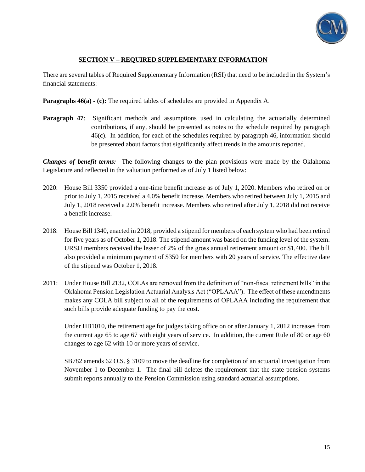

#### **SECTION V – REQUIRED SUPPLEMENTARY INFORMATION**

There are several tables of Required Supplementary Information (RSI) that need to be included in the System's financial statements:

**Paragraphs 46(a) - (c):** The required tables of schedules are provided in Appendix A.

**Paragraph 47:** Significant methods and assumptions used in calculating the actuarially determined contributions, if any, should be presented as notes to the schedule required by paragraph 46(c). In addition, for each of the schedules required by paragraph 46, information should be presented about factors that significantly affect trends in the amounts reported.

*Changes of benefit terms:* The following changes to the plan provisions were made by the Oklahoma Legislature and reflected in the valuation performed as of July 1 listed below:

- 2020: House Bill 3350 provided a one-time benefit increase as of July 1, 2020. Members who retired on or prior to July 1, 2015 received a 4.0% benefit increase. Members who retired between July 1, 2015 and July 1, 2018 received a 2.0% benefit increase. Members who retired after July 1, 2018 did not receive a benefit increase.
- 2018: House Bill 1340, enacted in 2018, provided a stipend for members of each system who had been retired for five years as of October 1, 2018. The stipend amount was based on the funding level of the system. URSJJ members received the lesser of 2% of the gross annual retirement amount or \$1,400. The bill also provided a minimum payment of \$350 for members with 20 years of service. The effective date of the stipend was October 1, 2018.
- 2011: Under House Bill 2132, COLAs are removed from the definition of "non-fiscal retirement bills" in the Oklahoma Pension Legislation Actuarial Analysis Act ("OPLAAA"). The effect of these amendments makes any COLA bill subject to all of the requirements of OPLAAA including the requirement that such bills provide adequate funding to pay the cost.

Under HB1010, the retirement age for judges taking office on or after January 1, 2012 increases from the current age 65 to age 67 with eight years of service. In addition, the current Rule of 80 or age 60 changes to age 62 with 10 or more years of service.

SB782 amends 62 O.S. § 3109 to move the deadline for completion of an actuarial investigation from November 1 to December 1. The final bill deletes the requirement that the state pension systems submit reports annually to the Pension Commission using standard actuarial assumptions.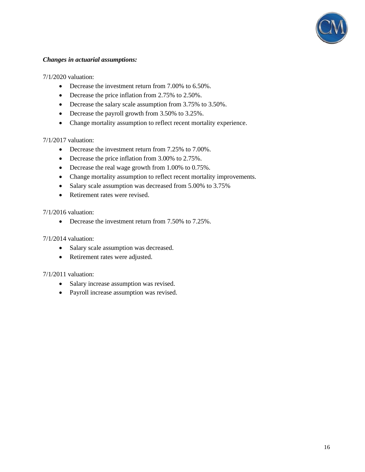

#### *Changes in actuarial assumptions:*

7/1/2020 valuation:

- Decrease the investment return from 7.00% to 6.50%.
- Decrease the price inflation from 2.75% to 2.50%.
- Decrease the salary scale assumption from 3.75% to 3.50%.
- Decrease the payroll growth from 3.50% to 3.25%.
- Change mortality assumption to reflect recent mortality experience.

7/1/2017 valuation:

- Decrease the investment return from 7.25% to 7.00%.
- Decrease the price inflation from 3.00% to 2.75%.
- Decrease the real wage growth from 1.00% to 0.75%.
- Change mortality assumption to reflect recent mortality improvements.
- Salary scale assumption was decreased from 5.00% to 3.75%
- Retirement rates were revised.

7/1/2016 valuation:

• Decrease the investment return from 7.50% to 7.25%.

7/1/2014 valuation:

- Salary scale assumption was decreased.
- Retirement rates were adjusted.

#### 7/1/2011 valuation:

- Salary increase assumption was revised.
- Payroll increase assumption was revised.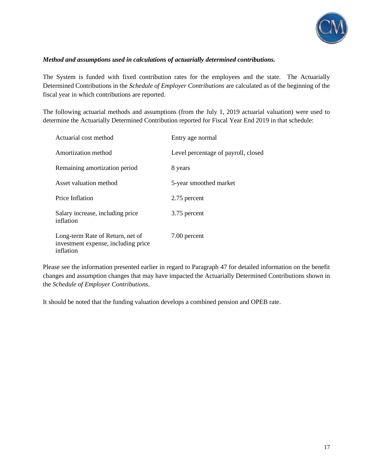

#### *Method and assumptions used in calculations of actuarially determined contributions.*

The System is funded with fixed contribution rates for the employees and the state. The Actuarially Determined Contributions in the *Schedule of Employer Contributions* are calculated as of the beginning of the fiscal year in which contributions are reported.

The following actuarial methods and assumptions (from the July 1, 2019 actuarial valuation) were used to determine the Actuarially Determined Contribution reported for Fiscal Year End 2019 in that schedule:

| Actuarial cost method                                                                | Entry age normal                    |
|--------------------------------------------------------------------------------------|-------------------------------------|
| Amortization method                                                                  | Level percentage of payroll, closed |
| Remaining amortization period                                                        | 8 years                             |
| Asset valuation method                                                               | 5-year smoothed market              |
| Price Inflation                                                                      | 2.75 percent                        |
| Salary increase, including price<br>inflation                                        | 3.75 percent                        |
| Long-term Rate of Return, net of<br>investment expense, including price<br>inflation | 7.00 percent                        |

Please see the information presented earlier in regard to Paragraph 47 for detailed information on the benefit changes and assumption changes that may have impacted the Actuarially Determined Contributions shown in the *Schedule of Employer Contributions*.

It should be noted that the funding valuation develops a combined pension and OPEB rate.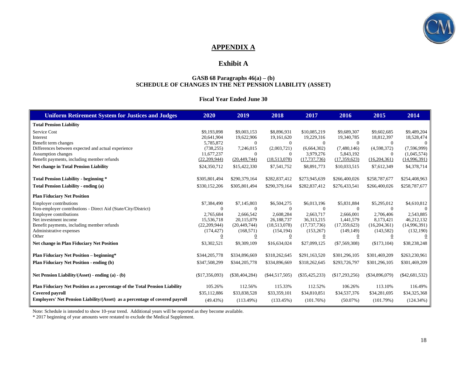

## **APPENDIX A**

## **Exhibit A**

#### **GASB 68 Paragraphs 46(a) – (b) SCHEDULE OF CHANGES IN THE NET PENSION LIABILITY (ASSET)**

#### **Fiscal Year Ended June 30**

| <b>Uniform Retirement System for Justices and Judges</b>                    | 2020             | 2019             | 2018             | 2017             | 2016            | 2015             | 2014             |
|-----------------------------------------------------------------------------|------------------|------------------|------------------|------------------|-----------------|------------------|------------------|
| <b>Total Pension Liability</b>                                              |                  |                  |                  |                  |                 |                  |                  |
| <b>Service Cost</b>                                                         | \$9,193,898      | \$9,003,153      | \$8,896,931      | \$10,085,219     | \$9,689,307     | \$9,602,685      | \$9,489,204      |
| Interest                                                                    | 20,641,904       | 19,622,906       | 19,161,620       | 19,229,316       | 19,340,785      | 18,812,397       | 18,528,474       |
| Benefit term changes                                                        | 5.785.872        | $\overline{0}$   | $\theta$         | $\overline{0}$   | $\overline{0}$  | $\Omega$         | $\overline{0}$   |
| Differences between expected and actual experience                          | (738, 255)       | 7,246,015        | (2,003,721)      | (6,664,302)      | (7,480,146)     | (4,598,372)      | (7,596,999)      |
| Assumption changes                                                          | 11.677.237       | $\overline{0}$   | $\Omega$         | 3,979,276        | 5,843,192       | $\Omega$         | (1,045,574)      |
| Benefit payments, including member refunds                                  | (22, 209, 944)   | (20, 449, 744)   | (18,513,078)     | (17, 737, 736)   | (17,359,623)    | (16,204,361)     | (14,996,391)     |
| <b>Net change in Total Pension Liability</b>                                | \$24,350,712     | \$15,422,330     | \$7,541,752      | \$8,891,773      | \$10,033,515    | \$7,612,349      | \$4,378,714      |
|                                                                             |                  |                  |                  |                  |                 |                  |                  |
| <b>Total Pension Liability - beginning *</b>                                | \$305,801,494    | \$290,379,164    | \$282,837,412    | \$273,945,639    | \$266,400,026   | \$258,787,677    | \$254,408,963    |
| Total Pension Liability - ending (a)                                        | \$330,152,206    | \$305,801,494    | \$290,379,164    | \$282,837,412    | \$276,433,541   | \$266,400,026    | \$258,787,677    |
| <b>Plan Fiduciary Net Position</b>                                          |                  |                  |                  |                  |                 |                  |                  |
| <b>Employer contributions</b>                                               | \$7,384,490      | \$7,145,803      | \$6,504,275      | \$6,013,196      | \$5,831,884     | \$5,295,012      | \$4,610,812      |
| Non-employer contributions - Direct Aid (State/City/District)               | $\Omega$         | $\theta$         | $\overline{0}$   | $\overline{0}$   | $\Omega$        | $\overline{0}$   | $\theta$         |
| Employee contributions                                                      | 2,765,684        | 2,666,542        | 2,608,284        | 2,663,717        | 2,666,001       | 2,706,406        | 2,543,885        |
| Net investment income                                                       | 15,536,718       | 20,115,079       | 26,188,737       | 36,313,215       | 1,441,579       | 8,173,421        | 46,212,132       |
| Benefit payments, including member refunds                                  | (22, 209, 944)   | (20, 449, 744)   | (18,513,078)     | (17, 737, 736)   | (17,359,623)    | (16,204,361)     | (14,996,391)     |
| Administrative expenses                                                     | (174, 427)       | (168, 571)       | (154, 194)       | (153, 267)       | (149, 149)      | (143, 582)       | (132,190)        |
| Other                                                                       | $\boldsymbol{0}$ | $\mathbf{0}$     | $\boldsymbol{0}$ | 0                | 0               | $\theta$         | $\theta$         |
| <b>Net change in Plan Fiduciary Net Position</b>                            | \$3,302,521      | \$9,309,109      | \$16,634,024     | \$27,099,125     | $(\$7,569,308)$ | (\$173,104)      | \$38,238,248     |
| <b>Plan Fiduciary Net Position – beginning*</b>                             | \$344,205,778    | \$334,896,669    | \$318,262,645    | \$291,163,520    | \$301,296,105   | \$301,469,209    | \$263,230,961    |
| <b>Plan Fiduciary Net Position - ending (b)</b>                             | \$347,508,299    | \$344,205,778    | \$334,896,669    | \$318,262,645    | \$293,726,797   | \$301,296,105    | \$301,469,209    |
|                                                                             |                  |                  |                  |                  |                 |                  |                  |
| Net Pension Liability/(Asset) - ending (a) - (b)                            | (\$17,356,093)   | $(\$38,404,284)$ | $(\$44,517,505)$ | $(\$35,425,233)$ | (\$17,293,256)  | $(\$34,896,079)$ | $(\$42,681,532)$ |
| Plan Fiduciary Net Position as a percentage of the Total Pension Liability  | 105.26%          | 112.56%          | 115.33%          | 112.52%          | 106.26%         | 113.10%          | 116.49%          |
| <b>Covered payroll</b>                                                      | \$35,112,886     | \$33,838,528     | \$33,359,101     | \$34,810,851     | \$34,537,376    | \$34,281,695     | \$34,325,368     |
| Employers' Net Pension Liability/(Asset) as a percentage of covered payroll | (49.43%)         | $(113.49\%)$     | (133.45%)        | (101.76%)        | (50.07%)        | (101.79%)        | (124.34%)        |
|                                                                             |                  |                  |                  |                  |                 |                  |                  |

Note: Schedule is intended to show 10-year trend. Additional years will be reported as they become available.

\* 2017 beginning of year amounts were restated to exclude the Medical Supplement.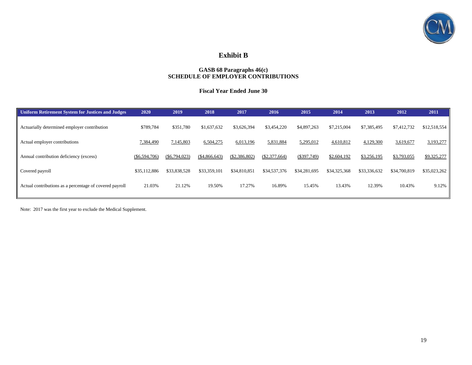

## **Exhibit B**

#### **GASB 68 Paragraphs 46(c) SCHEDULE OF EMPLOYER CONTRIBUTIONS**

#### **Fiscal Year Ended June 30**

| 2020           | 2019           | 2018           | 2017          | 2016          | 2015           | 2014         | 2013         | 2012         | 2011         |
|----------------|----------------|----------------|---------------|---------------|----------------|--------------|--------------|--------------|--------------|
| \$789,784      | \$351,780      | \$1,637,632    | \$3,626,394   | \$3,454,220   | \$4,897,263    | \$7,215,004  | \$7,385,495  | \$7,412,732  | \$12,518,554 |
| 7,384,490      | 7,145,803      | 6,504,275      | 6,013,196     | 5,831,884     | 5,295,012      | 4,610,812    | 4,129,300    | 3,619,677    | 3,193,277    |
| ( \$6,594,706) | ( \$6,794,023) | ( \$4,866,643) | (\$2,386,802) | (\$2,377,664) | $($ \$397,749) | \$2,604,192  | \$3,256,195  | \$3,793,055  | \$9,325,277  |
| \$35,112,886   | \$33,838,528   | \$33,359,101   | \$34,810,851  | \$34,537,376  | \$34,281,695   | \$34,325,368 | \$33,336,632 | \$34,700,819 | \$35,023,262 |
| 21.03%         | 21.12%         | 19.50%         | 17.27%        | 16.89%        | 15.45%         | 13.43%       | 12.39%       | 10.43%       | 9.12%        |
|                |                |                |               |               |                |              |              |              |              |

Note: 2017 was the first year to exclude the Medical Supplement.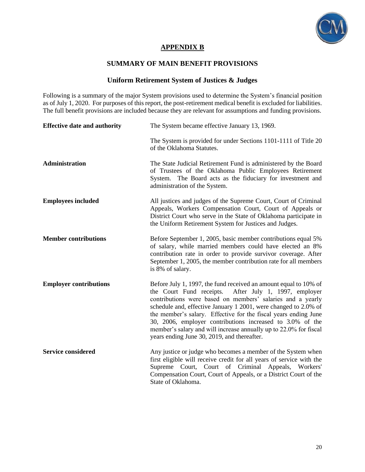

## **APPENDIX B**

## **SUMMARY OF MAIN BENEFIT PROVISIONS**

## **Uniform Retirement System of Justices & Judges**

Following is a summary of the major System provisions used to determine the System's financial position as of July 1, 2020. For purposes of this report, the post-retirement medical benefit is excluded for liabilities. The full benefit provisions are included because they are relevant for assumptions and funding provisions.

| <b>Effective date and authority</b> | The System became effective January 13, 1969.                                                                                                                                                                                                                                                                                                                                                                                                                                                                     |
|-------------------------------------|-------------------------------------------------------------------------------------------------------------------------------------------------------------------------------------------------------------------------------------------------------------------------------------------------------------------------------------------------------------------------------------------------------------------------------------------------------------------------------------------------------------------|
|                                     | The System is provided for under Sections 1101-1111 of Title 20<br>of the Oklahoma Statutes.                                                                                                                                                                                                                                                                                                                                                                                                                      |
| Administration                      | The State Judicial Retirement Fund is administered by the Board<br>of Trustees of the Oklahoma Public Employees Retirement<br>System. The Board acts as the fiduciary for investment and<br>administration of the System.                                                                                                                                                                                                                                                                                         |
| <b>Employees included</b>           | All justices and judges of the Supreme Court, Court of Criminal<br>Appeals, Workers Compensation Court, Court of Appeals or<br>District Court who serve in the State of Oklahoma participate in<br>the Uniform Retirement System for Justices and Judges.                                                                                                                                                                                                                                                         |
| <b>Member contributions</b>         | Before September 1, 2005, basic member contributions equal 5%<br>of salary, while married members could have elected an 8%<br>contribution rate in order to provide survivor coverage. After<br>September 1, 2005, the member contribution rate for all members<br>is 8% of salary.                                                                                                                                                                                                                               |
| <b>Employer contributions</b>       | Before July 1, 1997, the fund received an amount equal to 10% of<br>the Court Fund receipts.<br>After July 1, 1997, employer<br>contributions were based on members' salaries and a yearly<br>schedule and, effective January 1 2001, were changed to 2.0% of<br>the member's salary. Effective for the fiscal years ending June<br>30, 2006, employer contributions increased to 3.0% of the<br>member's salary and will increase annually up to 22.0% for fiscal<br>years ending June 30, 2019, and thereafter. |
| <b>Service considered</b>           | Any justice or judge who becomes a member of the System when<br>first eligible will receive credit for all years of service with the<br>Supreme Court, Court of Criminal Appeals, Workers'<br>Compensation Court, Court of Appeals, or a District Court of the<br>State of Oklahoma.                                                                                                                                                                                                                              |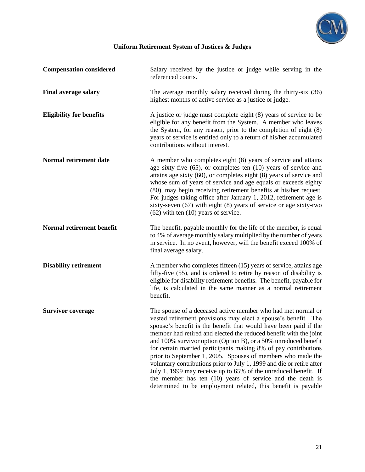

| <b>Compensation considered</b>  | Salary received by the justice or judge while serving in the<br>referenced courts.                                                                                                                                                                                                                                                                                                                                                                                                                                                                                                                                                                                                                                                                      |
|---------------------------------|---------------------------------------------------------------------------------------------------------------------------------------------------------------------------------------------------------------------------------------------------------------------------------------------------------------------------------------------------------------------------------------------------------------------------------------------------------------------------------------------------------------------------------------------------------------------------------------------------------------------------------------------------------------------------------------------------------------------------------------------------------|
| <b>Final average salary</b>     | The average monthly salary received during the thirty-six (36)<br>highest months of active service as a justice or judge.                                                                                                                                                                                                                                                                                                                                                                                                                                                                                                                                                                                                                               |
| <b>Eligibility for benefits</b> | A justice or judge must complete eight (8) years of service to be<br>eligible for any benefit from the System. A member who leaves<br>the System, for any reason, prior to the completion of eight (8)<br>years of service is entitled only to a return of his/her accumulated<br>contributions without interest.                                                                                                                                                                                                                                                                                                                                                                                                                                       |
| Normal retirement date          | A member who completes eight (8) years of service and attains<br>age sixty-five (65), or completes ten (10) years of service and<br>attains age sixty (60), or completes eight (8) years of service and<br>whose sum of years of service and age equals or exceeds eighty<br>(80), may begin receiving retirement benefits at his/her request.<br>For judges taking office after January 1, 2012, retirement age is<br>sixty-seven $(67)$ with eight $(8)$ years of service or age sixty-two<br>$(62)$ with ten $(10)$ years of service.                                                                                                                                                                                                                |
| Normal retirement benefit       | The benefit, payable monthly for the life of the member, is equal<br>to 4% of average monthly salary multiplied by the number of years<br>in service. In no event, however, will the benefit exceed 100% of<br>final average salary.                                                                                                                                                                                                                                                                                                                                                                                                                                                                                                                    |
| <b>Disability retirement</b>    | A member who completes fifteen (15) years of service, attains age<br>fifty-five (55), and is ordered to retire by reason of disability is<br>eligible for disability retirement benefits. The benefit, payable for<br>life, is calculated in the same manner as a normal retirement<br>benefit.                                                                                                                                                                                                                                                                                                                                                                                                                                                         |
| <b>Survivor coverage</b>        | The spouse of a deceased active member who had met normal or<br>vested retirement provisions may elect a spouse's benefit. The<br>spouse's benefit is the benefit that would have been paid if the<br>member had retired and elected the reduced benefit with the joint<br>and 100% survivor option (Option B), or a 50% unreduced benefit<br>for certain married participants making 8% of pay contributions<br>prior to September 1, 2005. Spouses of members who made the<br>voluntary contributions prior to July 1, 1999 and die or retire after<br>July 1, 1999 may receive up to 65% of the unreduced benefit. If<br>the member has ten $(10)$ years of service and the death is<br>determined to be employment related, this benefit is payable |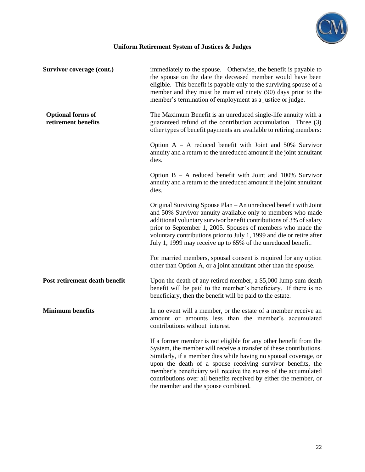

| Survivor coverage (cont.)                       | immediately to the spouse. Otherwise, the benefit is payable to<br>the spouse on the date the deceased member would have been<br>eligible. This benefit is payable only to the surviving spouse of a<br>member and they must be married ninety (90) days prior to the<br>member's termination of employment as a justice or judge.                                                                                                                        |
|-------------------------------------------------|-----------------------------------------------------------------------------------------------------------------------------------------------------------------------------------------------------------------------------------------------------------------------------------------------------------------------------------------------------------------------------------------------------------------------------------------------------------|
| <b>Optional forms of</b><br>retirement benefits | The Maximum Benefit is an unreduced single-life annuity with a<br>guaranteed refund of the contribution accumulation. Three (3)<br>other types of benefit payments are available to retiring members:                                                                                                                                                                                                                                                     |
|                                                 | Option $A - A$ reduced benefit with Joint and 50% Survivor<br>annuity and a return to the unreduced amount if the joint annuitant<br>dies.                                                                                                                                                                                                                                                                                                                |
|                                                 | Option $B - A$ reduced benefit with Joint and 100% Survivor<br>annuity and a return to the unreduced amount if the joint annuitant<br>dies.                                                                                                                                                                                                                                                                                                               |
|                                                 | Original Surviving Spouse Plan - An unreduced benefit with Joint<br>and 50% Survivor annuity available only to members who made<br>additional voluntary survivor benefit contributions of 3% of salary<br>prior to September 1, 2005. Spouses of members who made the<br>voluntary contributions prior to July 1, 1999 and die or retire after<br>July 1, 1999 may receive up to 65% of the unreduced benefit.                                            |
|                                                 | For married members, spousal consent is required for any option<br>other than Option A, or a joint annuitant other than the spouse.                                                                                                                                                                                                                                                                                                                       |
| Post-retirement death benefit                   | Upon the death of any retired member, a \$5,000 lump-sum death<br>benefit will be paid to the member's beneficiary. If there is no<br>beneficiary, then the benefit will be paid to the estate.                                                                                                                                                                                                                                                           |
| <b>Minimum benefits</b>                         | In no event will a member, or the estate of a member receive an<br>amount or amounts less than the member's accumulated<br>contributions without interest.                                                                                                                                                                                                                                                                                                |
|                                                 | If a former member is not eligible for any other benefit from the<br>System, the member will receive a transfer of these contributions.<br>Similarly, if a member dies while having no spousal coverage, or<br>upon the death of a spouse receiving survivor benefits, the<br>member's beneficiary will receive the excess of the accumulated<br>contributions over all benefits received by either the member, or<br>the member and the spouse combined. |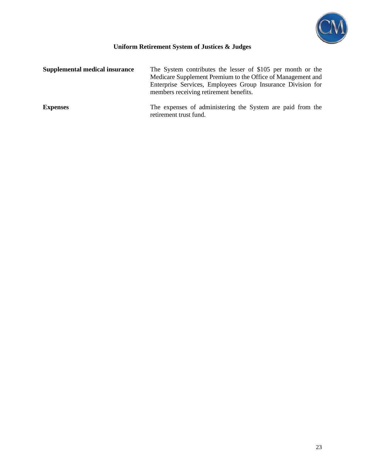

| Supplemental medical insurance | The System contributes the lesser of \$105 per month or the<br>Medicare Supplement Premium to the Office of Management and<br>Enterprise Services, Employees Group Insurance Division for<br>members receiving retirement benefits. |
|--------------------------------|-------------------------------------------------------------------------------------------------------------------------------------------------------------------------------------------------------------------------------------|
| <b>Expenses</b>                | The expenses of administering the System are paid from the<br>retirement trust fund.                                                                                                                                                |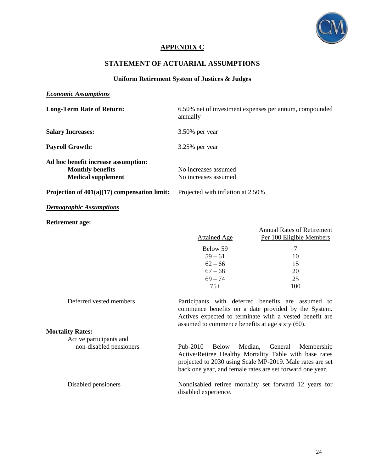

## **APPENDIX C**

## **STATEMENT OF ACTUARIAL ASSUMPTIONS**

#### **Uniform Retirement System of Justices & Judges**

#### *Economic Assumptions*

**Mortality Rates:**

Active participants and

| <b>Long-Term Rate of Return:</b>                                                            | 6.50% net of investment expenses per annum, compounded<br>annually     |                                                                                      |  |
|---------------------------------------------------------------------------------------------|------------------------------------------------------------------------|--------------------------------------------------------------------------------------|--|
| <b>Salary Increases:</b>                                                                    | $3.50\%$ per year                                                      |                                                                                      |  |
| <b>Payroll Growth:</b>                                                                      | 3.25% per year                                                         |                                                                                      |  |
| Ad hoc benefit increase assumption:<br><b>Monthly benefits</b><br><b>Medical supplement</b> | No increases assumed<br>No increases assumed                           |                                                                                      |  |
| Projection of $401(a)(17)$ compensation limit:                                              | Projected with inflation at 2.50%                                      |                                                                                      |  |
| <b>Demographic Assumptions</b>                                                              |                                                                        |                                                                                      |  |
| <b>Retirement age:</b>                                                                      | <b>Attained Age</b><br>Below 59<br>$59 - 61$<br>$62 - 66$<br>$67 - 68$ | <b>Annual Rates of Retirement</b><br>Per 100 Eligible Members<br>7<br>10<br>15<br>20 |  |
| Deferred vested members                                                                     | $69 - 74$<br>$75+$<br>Participants with deferred benefits              | 25<br>100<br>are assumed to                                                          |  |

commence benefits on a date provided by the System. Actives expected to terminate with a vested benefit are assumed to commence benefits at age sixty (60).

#### non-disabled pensioners Pub-2010 Below Median, General Membership Active/Retiree Healthy Mortality Table with base rates projected to 2030 using Scale MP-2019. Male rates are set back one year, and female rates are set forward one year.

Disabled pensioners Nondisabled retiree mortality set forward 12 years for disabled experience.